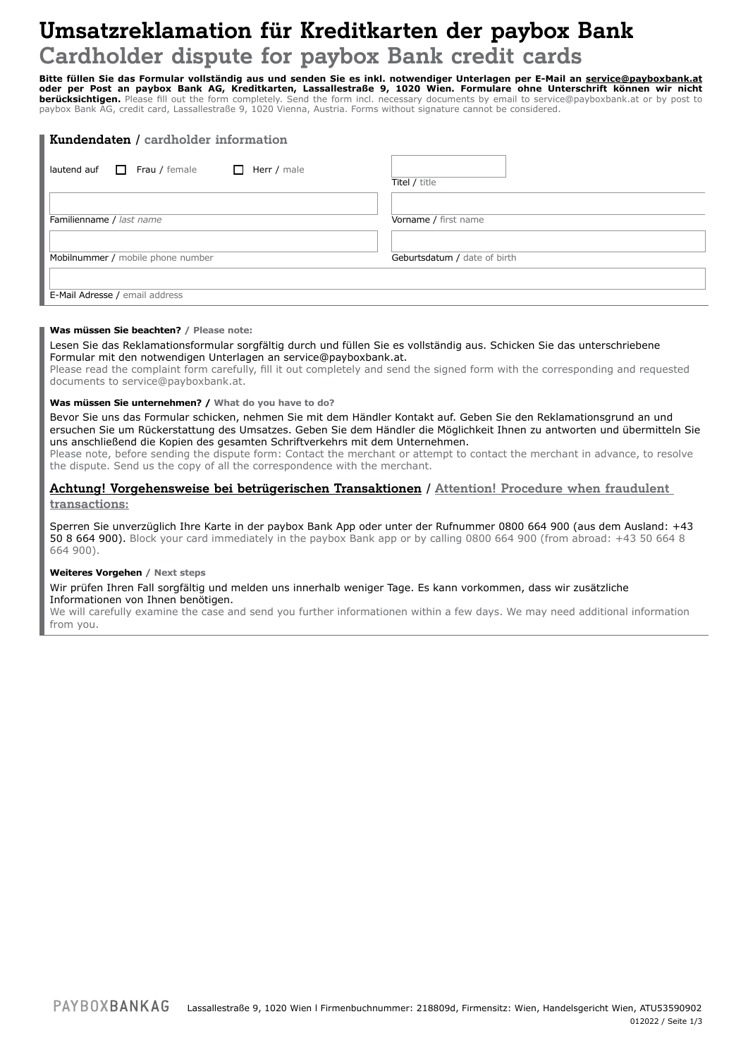## **Umsatzreklamation für Kreditkarten der paybox Bank Cardholder dispute for paybox Bank credit cards**

**Bitte füllen Sie das Formular vollständig aus und senden Sie es inkl. notwendiger Unterlagen per E-Mail an service@payboxbank.at oder per Post an paybox Bank AG, Kreditkarten, Lassallestraße 9, 1020 Wien. Formulare ohne Unterschrift können wir nicht berücksichtigen.** Please fill out the form completely. Send the form incl. necessary documents by email to service@payboxbank.at or by post to paybox Bank AG, credit card, Lassallestraße 9, 1020 Vienna, Austria. Forms without signature cannot be considered.

| Kundendaten / cardholder information                       |                              |  |
|------------------------------------------------------------|------------------------------|--|
| Frau / female<br>Herr / male<br>lautend auf<br>П<br>$\Box$ | Titel / title                |  |
| Familienname / last name                                   | Vorname / first name         |  |
| Mobilnummer / mobile phone number                          | Geburtsdatum / date of birth |  |
| E-Mail Adresse / email address                             |                              |  |

#### **Was müssen Sie beachten? / Please note:**

Lesen Sie das Reklamationsformular sorgfältig durch und füllen Sie es vollständig aus. Schicken Sie das unterschriebene Formular mit den notwendigen Unterlagen an service@payboxbank.at.

Please read the complaint form carefully, fill it out completely and send the signed form with the corresponding and requested documents to service@payboxbank.at.

#### **Was müssen Sie unternehmen? / What do you have to do?**

Bevor Sie uns das Formular schicken, nehmen Sie mit dem Händler Kontakt auf. Geben Sie den Reklamationsgrund an und ersuchen Sie um Rückerstattung des Umsatzes. Geben Sie dem Händler die Möglichkeit Ihnen zu antworten und übermitteln Sie uns anschließend die Kopien des gesamten Schriftverkehrs mit dem Unternehmen.

Please note, before sending the dispute form: Contact the merchant or attempt to contact the merchant in advance, to resolve the dispute. Send us the copy of all the correspondence with the merchant.

### **Achtung! Vorgehensweise bei betrügerischen Transaktionen / Attention! Procedure when fraudulent transactions:**

Sperren Sie unverzüglich Ihre Karte in der paybox Bank App oder unter der Rufnummer 0800 664 900 (aus dem Ausland: +43 50 8 664 900). Block your card immediately in the paybox Bank app or by calling 0800 664 900 (from abroad: +43 50 664 8 664 900).

#### **Weiteres Vorgehen / Next steps**

Wir prüfen Ihren Fall sorgfältig und melden uns innerhalb weniger Tage. Es kann vorkommen, dass wir zusätzliche Informationen von Ihnen benötigen.

We will carefully examine the case and send you further informationen within a few days. We may need additional information from you.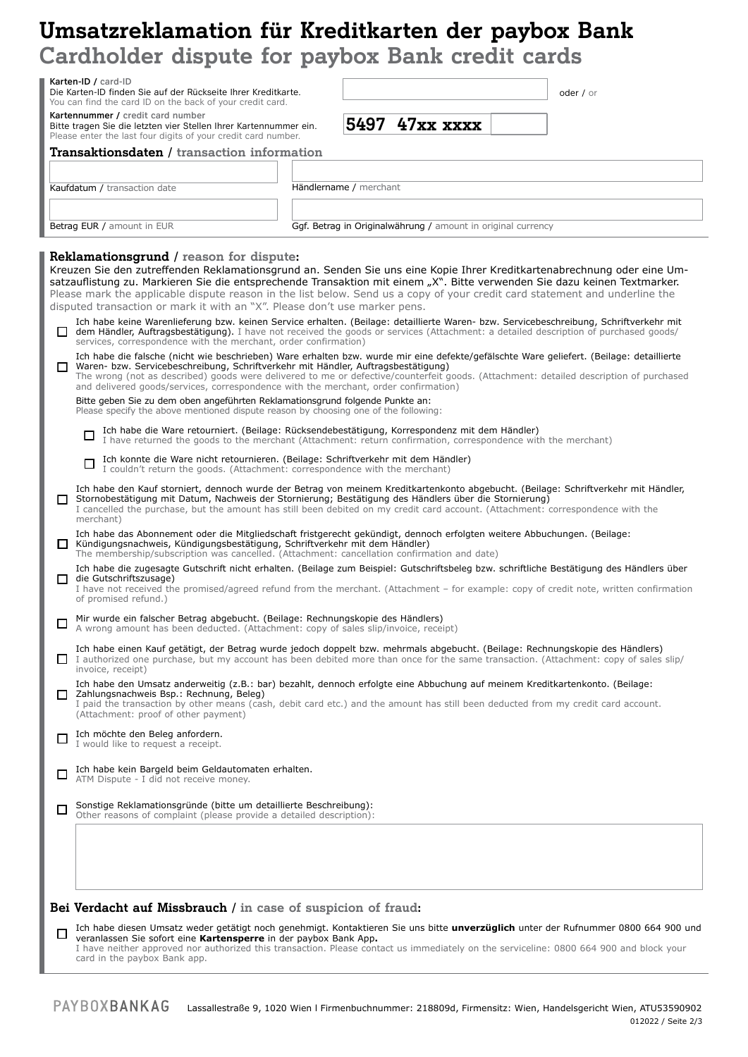# **Umsatzreklamation für Kreditkarten der paybox Bank Cardholder dispute for paybox Bank credit cards**

|   | ardifficiel dispute for baybox pails cleaft cards<br>Karten-ID / card-ID<br>Die Karten-ID finden Sie auf der Rückseite Ihrer Kreditkarte.                                                                                                                                                                                                                                                                                                                                                                                                                                                                                                                                                                                                                                                                                                                         | oder / or |
|---|-------------------------------------------------------------------------------------------------------------------------------------------------------------------------------------------------------------------------------------------------------------------------------------------------------------------------------------------------------------------------------------------------------------------------------------------------------------------------------------------------------------------------------------------------------------------------------------------------------------------------------------------------------------------------------------------------------------------------------------------------------------------------------------------------------------------------------------------------------------------|-----------|
|   | You can find the card ID on the back of your credit card.<br>Kartennummer / credit card number                                                                                                                                                                                                                                                                                                                                                                                                                                                                                                                                                                                                                                                                                                                                                                    |           |
|   | 5497<br>47xx xxxx<br>Bitte tragen Sie die letzten vier Stellen Ihrer Kartennummer ein.<br>Please enter the last four digits of your credit card number.                                                                                                                                                                                                                                                                                                                                                                                                                                                                                                                                                                                                                                                                                                           |           |
|   | <b>Transaktionsdaten / transaction information</b>                                                                                                                                                                                                                                                                                                                                                                                                                                                                                                                                                                                                                                                                                                                                                                                                                |           |
|   | Händlername / merchant<br>Kaufdatum / transaction date                                                                                                                                                                                                                                                                                                                                                                                                                                                                                                                                                                                                                                                                                                                                                                                                            |           |
|   |                                                                                                                                                                                                                                                                                                                                                                                                                                                                                                                                                                                                                                                                                                                                                                                                                                                                   |           |
|   | Betrag EUR / amount in EUR<br>Ggf. Betrag in Originalwährung / amount in original currency                                                                                                                                                                                                                                                                                                                                                                                                                                                                                                                                                                                                                                                                                                                                                                        |           |
|   | Reklamationsgrund / reason for dispute:<br>Kreuzen Sie den zutreffenden Reklamationsgrund an. Senden Sie uns eine Kopie Ihrer Kreditkartenabrechnung oder eine Um-<br>satzauflistung zu. Markieren Sie die entsprechende Transaktion mit einem "X". Bitte verwenden Sie dazu keinen Textmarker.<br>Please mark the applicable dispute reason in the list below. Send us a copy of your credit card statement and underline the<br>disputed transaction or mark it with an "X". Please don't use marker pens.<br>Ich habe keine Warenlieferung bzw. keinen Service erhalten. (Beilage: detaillierte Waren- bzw. Servicebeschreibung, Schriftverkehr mit<br>dem Händler, Auftragsbestätigung). I have not received the goods or services (Attachment: a detailed description of purchased goods/<br>services, correspondence with the merchant, order confirmation) |           |
|   | Ich habe die falsche (nicht wie beschrieben) Ware erhalten bzw. wurde mir eine defekte/gefälschte Ware geliefert. (Beilage: detaillierte<br>Waren- bzw. Servicebeschreibung, Schriftverkehr mit Händler, Auftragsbestätigung)<br>The wrong (not as described) goods were delivered to me or defective/counterfeit goods. (Attachment: detailed description of purchased<br>and delivered goods/services, correspondence with the merchant, order confirmation)<br>Bitte geben Sie zu dem oben angeführten Reklamationsgrund folgende Punkte an:<br>Please specify the above mentioned dispute reason by choosing one of the following:                                                                                                                                                                                                                            |           |
|   | Ich habe die Ware retourniert. (Beilage: Rücksendebestätigung, Korrespondenz mit dem Händler)<br>$\Box$<br>I have returned the goods to the merchant (Attachment: return confirmation, correspondence with the merchant)                                                                                                                                                                                                                                                                                                                                                                                                                                                                                                                                                                                                                                          |           |
|   | Ich konnte die Ware nicht retournieren. (Beilage: Schriftverkehr mit dem Händler)<br>口<br>I couldn't return the goods. (Attachment: correspondence with the merchant)                                                                                                                                                                                                                                                                                                                                                                                                                                                                                                                                                                                                                                                                                             |           |
|   | Ich habe den Kauf storniert, dennoch wurde der Betrag von meinem Kreditkartenkonto abgebucht. (Beilage: Schriftverkehr mit Händler,<br>Stornobestätigung mit Datum, Nachweis der Stornierung; Bestätigung des Händlers über die Stornierung)<br>I cancelled the purchase, but the amount has still been debited on my credit card account. (Attachment: correspondence with the<br>merchant)                                                                                                                                                                                                                                                                                                                                                                                                                                                                      |           |
|   | Ich habe das Abonnement oder die Mitgliedschaft fristgerecht gekündigt, dennoch erfolgten weitere Abbuchungen. (Beilage:<br>Kündigungsnachweis, Kündigungsbestätigung, Schriftverkehr mit dem Händler)<br>The membership/subscription was cancelled. (Attachment: cancellation confirmation and date)                                                                                                                                                                                                                                                                                                                                                                                                                                                                                                                                                             |           |
|   | Ich habe die zugesagte Gutschrift nicht erhalten. (Beilage zum Beispiel: Gutschriftsbeleg bzw. schriftliche Bestätigung des Händlers über<br>die Gutschriftszusage)<br>I have not received the promised/agreed refund from the merchant. (Attachment – for example: copy of credit note, written confirmation<br>of promised refund.)                                                                                                                                                                                                                                                                                                                                                                                                                                                                                                                             |           |
|   | Mir wurde ein falscher Betrag abgebucht. (Beilage: Rechnungskopie des Händlers)<br>A wrong amount has been deducted. (Attachment: copy of sales slip/invoice, receipt)                                                                                                                                                                                                                                                                                                                                                                                                                                                                                                                                                                                                                                                                                            |           |
|   | Ich habe einen Kauf getätigt, der Betrag wurde jedoch doppelt bzw. mehrmals abgebucht. (Beilage: Rechnungskopie des Händlers)<br>I authorized one purchase, but my account has been debited more than once for the same transaction. (Attachment: copy of sales slip/<br>invoice, receipt)                                                                                                                                                                                                                                                                                                                                                                                                                                                                                                                                                                        |           |
|   | Ich habe den Umsatz anderweitig (z.B.: bar) bezahlt, dennoch erfolgte eine Abbuchung auf meinem Kreditkartenkonto. (Beilage:<br>$\Box$ Zahlungsnachweis Bsp.: Rechnung, Beleg)<br>I paid the transaction by other means (cash, debit card etc.) and the amount has still been deducted from my credit card account.<br>(Attachment: proof of other payment)                                                                                                                                                                                                                                                                                                                                                                                                                                                                                                       |           |
|   | Ich möchte den Beleg anfordern.<br>I would like to request a receipt.                                                                                                                                                                                                                                                                                                                                                                                                                                                                                                                                                                                                                                                                                                                                                                                             |           |
|   | Ich habe kein Bargeld beim Geldautomaten erhalten.<br>ATM Dispute - I did not receive money.                                                                                                                                                                                                                                                                                                                                                                                                                                                                                                                                                                                                                                                                                                                                                                      |           |
| □ | Sonstige Reklamationsgründe (bitte um detaillierte Beschreibung):<br>Other reasons of complaint (please provide a detailed description):                                                                                                                                                                                                                                                                                                                                                                                                                                                                                                                                                                                                                                                                                                                          |           |
|   | Bei Verdacht auf Missbrauch / in case of suspicion of fraud:                                                                                                                                                                                                                                                                                                                                                                                                                                                                                                                                                                                                                                                                                                                                                                                                      |           |
|   | Ich habe diesen Umsatz weder getätigt noch genehmigt. Kontaktieren Sie uns bitte unverzüglich unter der Rufnummer 0800 664 900 und<br>veranlassen Sie sofort eine Kartensperre in der paybox Bank App.<br>I have neither approved nor authorized this transaction. Please contact us immediately on the serviceline: 0800 664 900 and block your<br>card in the paybox Bank app.                                                                                                                                                                                                                                                                                                                                                                                                                                                                                  |           |